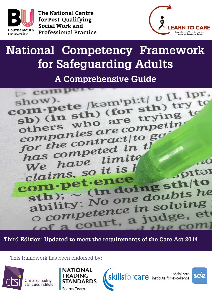

**The National Centre** for Post-Qualifying Social Work and **Professional Practice** 



# **National Competency Framework for Safeguarding Adults**

**A Comprehensive Guide**



**Third Edition: Updated to meet the requirements of the Care Act 2014**

This framework has been endorsed by:



**Chartered Trading** Standards Institute



social care<br>
social care<br>
social care<br>
institute for excellence

social care

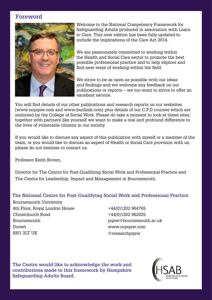## **Foreword**



Welcome to the National Competency Framework for Safeguarding Adults produced in association with Learn to Care. This new edition has been fully updated to include the implications of the Care Act 2014.

We are passionately committed to working within the Health and Social Care sector to promote the best possible professional practice and to help explore and find new ways of working within the field.

We strive to be as open as possible with our ideas and findings and we welcome any feedback on our publications or reports – we too want to strive to offer an excellent service.

You will find details of our other publications and research reports on our websites (www.ncpqsw.com and www.buclimb.com) plus details of our C.P.D courses which are endorsed by the College of Social Work. Please do take a moment to look at these sites, together with partners like yourself we want to make a real and profound difference to the lives of vulnerable citizens in our society.

If you would like to discuss any aspect of this publication with myself or a member of the team, or you would like to discuss an aspect of Health or Social Care provision with us, please do not hesitate to contact us.

Professor Keith Brown,

Director for The Centre for Post-Qualifying Social Work and Professional Practice and The Centre for Leadership, Impact and Management in Bournemouth.

#### **The National Centre for Post-Qualifying Social Work and Professional Practice**

Bournemouth University 4th Floor, Royal London House Christchurch Road Bournemouth Dorset BH1 3LT UK

+44(0)1202 964765 +44(0)1202 962025 pqsw@bournemouth.ac.uk www.ncpqsw.com @researchpqsw

**The Centre would like to acknowledge the work and contributions made to this framework by Hampshire Safeguarding Adults Board.** 

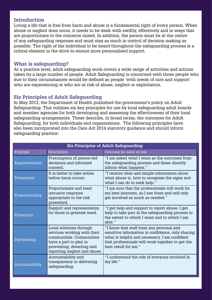#### **Introduction**

Living a life that is free from harm and abuse is a fundamental right of every person. When abuse or neglect does occur, it needs to be dealt with swiftly, effectively and in ways that are proportionate to the concerns raised. In addition, the person must be at the centre of any safeguarding response and must stay as much in control of decision making as possible. The right of the individual to be heard throughout the safeguarding process is a critical element in the drive to ensure more personalised support.

#### **What is safeguarding?**

At a practice level, adult safeguarding work covers a wide range of activities and actions taken by a large number of people. Adult Safeguarding is concerned with those people who due to their circumstances would be defined as people 'with needs of care and support' who are experiencing or who are at risk of abuse, neglect or exploitation.

### **Six Principles of Adult Safeguarding**

In May 2013, the Department of Health published the government's policy on Adult Safeguarding. This outlines six key principles for use by local safeguarding adult boards and member agencies for both developing and assessing the effectiveness of their local safeguarding arrangements. These describe, in broad terms, the outcomes for Adult Safeguarding, for both individuals and organisations. The following principles have also been incorporated into the Care Act 2014 statutory guidance and should inform safeguarding practice:

| <b>Six Principles of Adult Safeguarding</b> |                                                                                                                                                                           |                                                                                                                                                                                                                             |  |
|---------------------------------------------|---------------------------------------------------------------------------------------------------------------------------------------------------------------------------|-----------------------------------------------------------------------------------------------------------------------------------------------------------------------------------------------------------------------------|--|
| Principle                                   | Description                                                                                                                                                               | Outcome for adult at risk                                                                                                                                                                                                   |  |
| Empowerment                                 | Presumption of person-led<br>decisions and informed<br>consent.                                                                                                           | "I am asked what I want as the outcomes from<br>the safeguarding process and these directly<br>inform what happens."                                                                                                        |  |
| Prevention                                  | It is better to take action<br>before harm occurs.                                                                                                                        | "I receive clear and simple information about<br>what abuse is, how to recognise the signs and<br>what I can do to seek help."                                                                                              |  |
| Proportionality                             | Proportionate and least<br>intrusive response<br>appropriate to the risk<br>presented.                                                                                    | "I am sure that the professionals will work for<br>my best interests, as I see them and will only<br>get involved as much as needed."                                                                                       |  |
| Protection                                  | Support and representation<br>for those in greatest need.                                                                                                                 | "I get help and support to report abuse. I get<br>help to take part in the safeguarding process to<br>the extent to which I want and to which I am<br>able."                                                                |  |
| Partnership                                 | Local solutions through<br>services working with their<br>communities. Communities<br>have a part to play in<br>preventing, detecting and<br>reporting neglect and abuse. | "I know that staff treat any personal and<br>sensitive information in confidence, only sharing<br>what is helpful and necessary. I am confident<br>that professionals will work together to get the<br>best result for me." |  |
| Accountability                              | Accountability and<br>transparency in delivering<br>safeguarding.                                                                                                         | "I understand the role of everyone involved in<br>my life."                                                                                                                                                                 |  |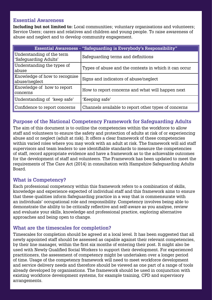#### **Essential Awareness**

**Including but not limited to:** Local communities; voluntary organisations and volunteers; Service Users; carers and relatives and children and young people. To raise awareness of abuse and neglect and to develop community engagement.

| <b>Essential Awareness - "Safeguarding is Everybody's Responsibility"</b> |                                                       |  |
|---------------------------------------------------------------------------|-------------------------------------------------------|--|
| Understanding of the term<br>'Safeguarding Adults'                        | Safeguarding terms and definitions                    |  |
| Understanding the types of<br>abuse                                       | Types of abuse and the contexts in which it can occur |  |
| Knowledge of how to recognise<br>abuse/neglect                            | Signs and indicators of abuse/neglect                 |  |
| Knowledge of how to report<br>concerns                                    | How to report concerns and what will happen next      |  |
| Understanding of 'keep safe'                                              | 'Keeping safe'                                        |  |
| Confidence to report concerns                                             | Channels available to report other types of concerns  |  |

## **Purpose of the National Competency Framework for Safeguarding Adults**

The aim of this document is to outline the competencies within the workforce to allow staff and volunteers to ensure the safety and protection of adults at risk of or experiencing abuse and or neglect (adult at risk). It offers a clear framework of these competencies within varied roles where you may work with an adult at risk. The framework will aid staff supervisors and team leaders to use identifiable standards to measure the competencies of staff, record appropriate evidence and have a framework as to the achievable outcomes for the development of staff and volunteers. The Framework has been updated to meet the requirements of The Care Act (2014) in consultation with Hampshire Safeguarding Adults Board.

## **What is Competency?**

Each professional competency within this framework refers to a combination of skills, knowledge and experience expected of individual staff and this framework aims to ensure that these qualities inform Safeguarding practice in a way that is commensurate with an individuals' occupational role and responsibility. Competency involves being able to demonstrate the ability to be critically reflective and self-aware as you analyse, review and evaluate your skills, knowledge and professional practice, exploring alternative approaches and being open to change.

### **What are the timescales for completion?**

Timescales for completion should be agreed at a local level. It has been suggested that all newly appointed staff should be assessed as capable against their relevant competencies, by their line manager, within the first six months of entering their post. It might also be used with Newly Qualified Social Workers to support their development. For experienced practitioners, the assessment of competency might be undertaken over a longer period of time. Usage of the competency framework will need to meet workforce development and service delivery needs and therefore should be viewed as one part of a range of tools already developed by organisations. The framework should be used in conjunction with existing workforce development systems, for example training, CPD and supervisory arrangements.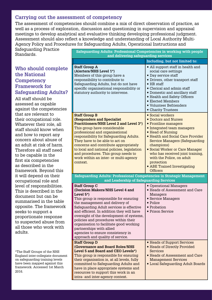### **Carrying out the assessment of competency**

The assessment of competencies should combine a mix of direct observation of practice, as well as a process of exploration, discussion and questioning in supervision and appraisal meetings to develop analytical and evaluative thinking developing professional judgment. Assessment should also reflect a knowledge and understanding of Local Authority Multi-Agency Policy and Procedures for Safeguarding Adults, Operational Instructions and

Safeguarding Practice

## **Who should complete the National Competency Framework for Safeguarding Adults?**

| paroguarumg 1 racareo<br>Standards.                                                                                                                                                                                                                                                                                   | Safeguarding Adults: Professional Competencies in working with people<br>and delivering safeguarding services                                                                                                                                                                                                                                                                                                                                                                                                                 |                                                                                                                                                                                                                                                                                                                                                                                            |  |
|-----------------------------------------------------------------------------------------------------------------------------------------------------------------------------------------------------------------------------------------------------------------------------------------------------------------------|-------------------------------------------------------------------------------------------------------------------------------------------------------------------------------------------------------------------------------------------------------------------------------------------------------------------------------------------------------------------------------------------------------------------------------------------------------------------------------------------------------------------------------|--------------------------------------------------------------------------------------------------------------------------------------------------------------------------------------------------------------------------------------------------------------------------------------------------------------------------------------------------------------------------------------------|--|
|                                                                                                                                                                                                                                                                                                                       |                                                                                                                                                                                                                                                                                                                                                                                                                                                                                                                               | Including, but not limited to:                                                                                                                                                                                                                                                                                                                                                             |  |
| Who should complete<br>the National<br><b>Competency</b><br><b>Framework for</b><br><b>Safeguarding Adults?</b><br>All staff should be<br>assessed as capable<br>against the competencies                                                                                                                             | <b>Staff Group A</b><br>(Alerters/NHS Level 1*)<br>Members of this group have a<br>responsibility to contribute to<br>Safeguarding Adults, but do not have<br>specific organisational responsibility or<br>statutory authority to intervene.                                                                                                                                                                                                                                                                                  | • All support staff in health and<br>social care settings<br>• Day service staff<br>• Drivers, other transport staff<br>$\blacksquare$ HR staff<br>■ Clerical and admin staff<br>• Domestic and ancillary staff<br>■ Health and Safety Officers<br><b>Elected Members</b><br>■ Volunteer Befrienders<br>• Charity Trustees                                                                 |  |
| that are relevant to<br>their occupational role.<br>Whatever their role, all<br>staff should know when<br>and how to report any<br>concern about abuse of<br>an adult at risk of harm.<br>Therefore all staff need<br>to be capable in the<br>first six competencies<br>as described in the<br>framework. Beyond this | <b>Staff Group B</b><br><b>(Responders and Specialist</b><br><b>Practitioners/NHS Level 2 and Level 3*)</b><br>This group have considerable<br>professional and organisational<br>responsibility for Safeguarding Adults.<br>They have to be able to act on<br>concerns and contribute appropriately<br>to local and national policies, legislation<br>and procedures. This group needs to<br>work within an inter- or multi-agency<br>context.                                                                               | Social workers<br>Doctors and Nurses<br>■ Frontline managers<br>Integrated team managers<br>■ Head of Nursing<br><b>Example 1</b> Health and Social Care Provider<br><b>Service Managers (Safeguarding</b><br>champions)<br>Social Worker or Care Manager<br>who has received joint training,<br>with the Police, on adult<br>protection<br>• ABE Trained Investigating<br><b>Officers</b> |  |
| it will depend on their                                                                                                                                                                                                                                                                                               | Safeguarding Adults: Professional Competencies in Strategic Management                                                                                                                                                                                                                                                                                                                                                                                                                                                        |                                                                                                                                                                                                                                                                                                                                                                                            |  |
| occupational role and<br>level of responsibilities.<br>This is described in the<br>document but can be<br>summarised in the table<br>opposite. The framework<br>seeks to support a<br>proportionate response<br>to suspected abuse from<br>all those who work with<br>adults.                                         | and Leadership of Safeguarding Services<br><b>Staff Group C</b><br>(Decision Makers/NHS Level 4 and<br>Level $5^*$ )<br>This group is responsible for ensuring<br>the management and delivery of<br>Safeguarding Adult services is effective<br>and efficient. In addition they will have<br>oversight of the development of systems,<br>policies and procedures within their<br>organisation to facilitate good working<br>partnerships with allied<br>agencies to ensure consistency in<br>approach and quality of service. | Operational Managers<br>■ Heads of Assessment and Care<br>Managers<br>■ Service Managers<br>• Police<br>■ Probation<br><b>Prison Service</b>                                                                                                                                                                                                                                               |  |
| *The Staff Groups of the NHS<br>England inter-collegiate document<br>on safeguarding training levels<br>have been mapped against this<br>framework. Accessed 1st March<br>2016.                                                                                                                                       | <b>Staff Group D</b><br><b>(Governance and Board Roles/NHS</b><br>Level 5 and Board and CEO Levels*)<br>This group is responsible for ensuring<br>their organisation is, at all levels, fully<br>committed to Safeguarding Adults and<br>have in place appropriate systems and<br>resources to support this work in an<br>intra- and inter-agency context.                                                                                                                                                                    | ■ Heads of Support Services<br><b>Example 3 Heads of Directly Provided</b><br><b>Services</b><br>■ Heads of Assessment and Care<br><b>Management Services</b><br>Local Safeguarding Adult Boards                                                                                                                                                                                           |  |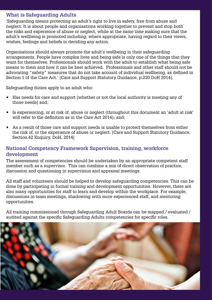### **What is Safeguarding Adults**

'Safeguarding means protecting an adult's right to live in safety, free from abuse and neglect. It is about people and organisations working together to prevent and stop both the risks and experience of abuse or neglect, while at the same time making sure that the adult's wellbeing is promoted including, where appropriate, having regard to their views, wishes, feelings and beliefs in deciding any action.

Organisations should always promote the adult's wellbeing in their safeguarding arrangements. People have complex lives and being safe is only one of the things that they want for themselves. Professionals should work with the adult to establish what being safe means to them and how it can be best achieved. Professionals and other staff should not be advocating "safety" measures that do not take account of individual wellbeing, as defined in Section 1 of the Care Act.' [Care and Support Statutory Guidance, p.230 DoH 2014].

Safeguarding duties apply to an adult who:

- Has needs for care and support (whether or not the local authority is meeting any of those needs) and;
- Is experiencing, or at risk of, abuse or neglect (throughout this document an 'adult at risk' will refer to the definition as in the Care Act 2014); and;
- As a result of those care and support needs is unable to protect themselves from either the risk of, or the experience of abuse or neglect. [Care and Support Statutory Guidance, Section.42 Enquiry, DoH, 2014]

#### **National Competency Framework Supervision, training, workforce development**

The assessment of competencies should be undertaken by an appropriate competent staff member such as a supervisor. This can combine a mix of direct observation of practice, discussion and questioning in supervision and appraisal meetings.

All staff and volunteers should be helped to develop safeguarding competencies. This can be done by participating in formal training and development opportunities. However, there are also many opportunities for staff to learn and develop within the workplace. For example, discussions in team meetings, shadowing with more experienced staff, and mentoring opportunities.

All training commissioned through Safeguarding Adult Boards can be mapped / evaluated / audited against the specific Safeguarding Adults competencies for specific roles.

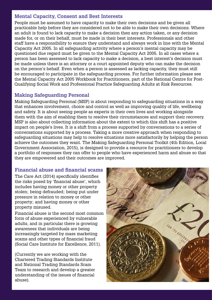### **Mental Capacity, Consent and Best Interests**

People must be assumed to have capacity to make their own decisions and be given all practicable help before they are considered not to be able to make their own decisions. Where an adult is found to lack capacity to make a decision then any action taken, or any decision made for, or on their behalf, must be made in their best interests. Professionals and other staff have a responsibility to ensure they understand and always work in line with the Mental Capacity Act 2005. In all safeguarding activity where a person's mental capacity may be questioned due regard must be given to the Mental Capacity Act 2005. In all cases where a person has been assessed to lack capacity to make a decision, a best interest's decision must be made unless there is an attorney or a court appointed deputy who can make the decision on the person's behalf. Even when a person is assessed as lacking capacity, they must still be encouraged to participate in the safeguarding process. For further information please see the Mental Capacity Act 2005 Workbook for Practitioners, part of the National Centre for Post-Qualifying Social Work and Professional Practice Safeguarding Adults at Risk Resources.

## **Making Safeguarding Personal**

Making Safeguarding Personal (MSP) is about responding to safeguarding situations in a way that enhances involvement, choice and control as well as improving quality of life, wellbeing and safety. It is about seeing people as experts in their own lives and working alongside them with the aim of enabling them to resolve their circumstances and support their recovery. MSP is also about collecting information about the extent to which this shift has a positive impact on people's lives. It is a shift from a process supported by conversations to a series of conversations supported by a process. Taking a more creative approach when responding to safeguarding situations may help to resolve situations more satisfactorily by helping the person achieve the outcomes they want. The Making Safeguarding Personal Toolkit (4th Edition, Local Government Association, 2015), is designed to provide a resource for practitioners to develop a portfolio of responses they can offer to people who have experienced harm and abuse so that they are empowered and their outcomes are improved.

### **Financial abuse and financial scams**

The Care Act (2014) specifically identifies the risks posed by 'financial abuse', which includes having money or other property stolen; being defrauded; being put under pressure in relation to money or other property; and having money or other property misused.

Financial abuse is the second most common form of abuse experienced by vulnerable adults, and in particular there is growing awareness that individuals are being increasingly targeted by mass marketing scams and other types of financial fraud (Social Care Institute for Excellence, 2011).

(Currently we are working with the Chartered Trading Standards Institute and National Trading Standards Scam Team to research and develop a greater understanding of the issues of financial abuse).

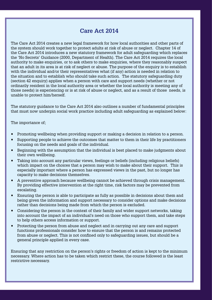## **Care Act 2014**

The Care Act 2014 creates a new legal framework for how local authorities and other parts of the system should work together to protect adults at risk of abuse or neglect. Chapter 14 of the Care Act 2014 introduces a new statutory framework for adult safeguarding which replaces the 'No Secrets' Guidance (2000, Department of Health). The Care Act 2014 requires the local authority to make enquiries, or to ask others to make enquiries, where they reasonably suspect that an adult in its area is at risk of neglect or abuse. The purpose of the enquiry is to establish with the individual and/or their representatives what (if any) action is needed in relation to the situation and to establish who should take such action. The statutory safeguarding duty (section 42 enquiry) applies when a person with care and support needs (whether or not ordinarily resident in the local authority area or whether the local authority is meeting any of those needs) is experiencing or is at risk of abuse or neglect, and as a result of those needs, is unable to protect him/herself.

The statutory guidance to the Care Act 2014 also outlines a number of fundamental principles that must now underpin social work practice including adult safeguarding as explained below:

The importance of;

- Promoting wellbeing when providing support or making a decision in relation to a person.
- Supporting people to achieve the outcomes that matter to them in their life by practitioners focusing on the needs and goals of the individual.
- Beginning with the assumption that the individual is best placed to make judgments about their own wellbeing.
- Taking into account any particular views, feelings or beliefs (including religious beliefs) which impact on the choices that a person may wish to make about their support. This is especially important where a person has expressed views in the past, but no longer has capacity to make decisions themselves.
- A preventive approach because wellbeing cannot be achieved through crisis management. By providing effective intervention at the right time, risk factors may be prevented from escalating.
- Ensuring the person is able to participate as fully as possible in decisions about them and being given the information and support necessary to consider options and make decisions rather than decisions being made from which the person is excluded.
- Considering the person in the context of their family and wider support networks, taking into account the impact of an individual's need on those who support them, and take steps to help others access information or support.
- Protecting the person from abuse and neglect and in carrying out any care and support functions professionals consider how to ensure that the person is and remains protected from abuse or neglect. This is not confined only to safeguarding issues, but should be a general principle applied in every case.

Ensuring that any restriction on the person's rights or freedom of action is kept to the minimum necessary. Where action has to be taken which restrict these, the course followed is the least restrictive necessary.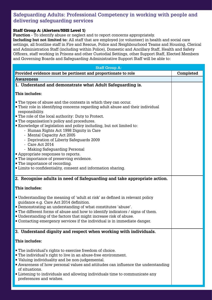## **Safeguarding Adults: Professional Competency in working with people and delivering safeguarding services**

#### Staff Group A: (Alerters/NHS Level 1)

**Function -** To identify abuse or neglect and to report concerns appropriately.

**Including but not limited to:** All staff that are employed (or volunteer) in health and social care settings, all frontline staff in Fire and Rescue, Police and Neighbourhood Teams and Housing, Clerical and Administration Staff (including within Police), Domestic and Ancillary Staff, Health and Safety Officers, staff working in Prisons and other Custodial Settings, other Support Staff, Elected Members and Governing Boards and Safeguarding Administrative Support Staff will be able to:

| <b>Staff Group A:</b>                                                                                                                                                                                                                                                                                                                                                                                                                                                                                                                                                                                                                                                                                                      |           |  |  |
|----------------------------------------------------------------------------------------------------------------------------------------------------------------------------------------------------------------------------------------------------------------------------------------------------------------------------------------------------------------------------------------------------------------------------------------------------------------------------------------------------------------------------------------------------------------------------------------------------------------------------------------------------------------------------------------------------------------------------|-----------|--|--|
| Provided evidence must be pertinent and proportionate to role                                                                                                                                                                                                                                                                                                                                                                                                                                                                                                                                                                                                                                                              | Completed |  |  |
| <b>Awareness</b>                                                                                                                                                                                                                                                                                                                                                                                                                                                                                                                                                                                                                                                                                                           |           |  |  |
| 1. Understand and demonstrate what Adult Safeguarding is.                                                                                                                                                                                                                                                                                                                                                                                                                                                                                                                                                                                                                                                                  |           |  |  |
| This includes:                                                                                                                                                                                                                                                                                                                                                                                                                                                                                                                                                                                                                                                                                                             |           |  |  |
| • The types of abuse and the contexts in which they can occur.<br>• Their role in identifying concerns regarding adult abuse and their individual<br>responsibility.<br><b>The role of the local authority: Duty to Protect.</b><br><b>The organisation's policy and procedures.</b><br>Knowledge of legislation and policy including, but not limited to:<br>- Human Rights Act 1998 Dignity in Care<br>- Mental Capacity Act 2005<br>- Deprivation of Liberty Safeguards 2009<br>- Care Act $2014$<br>- Making Safeguarding Personal<br>• Appropriate responses to reports.<br>• The importance of preserving evidence.<br>• The importance of recording.<br>Limits to confidentiality, consent and information sharing. |           |  |  |
| 2. Recognise adults in need of Safeguarding and take appropriate action.                                                                                                                                                                                                                                                                                                                                                                                                                                                                                                                                                                                                                                                   |           |  |  |
| This includes:                                                                                                                                                                                                                                                                                                                                                                                                                                                                                                                                                                                                                                                                                                             |           |  |  |
| • Understanding the meaning of 'adult at risk' as defined in relevant policy<br>guidance e.g. Care Act 2014 definition.<br>• Demonstrating an understanding of what constitutes 'abuse'.<br>• The different forms of abuse and how to identify indicators / signs of them.<br>• Understanding of the factors that might increase risk of abuse.<br>• Contacting emergency services if the individual is in immediate danger.                                                                                                                                                                                                                                                                                               |           |  |  |
| 3. Understand dignity and respect when working with individuals.                                                                                                                                                                                                                                                                                                                                                                                                                                                                                                                                                                                                                                                           |           |  |  |
| This includes:                                                                                                                                                                                                                                                                                                                                                                                                                                                                                                                                                                                                                                                                                                             |           |  |  |
| ■ The individual's rights to exercise freedom of choice.<br>• The individual's right to live in an abuse-free environment.<br>• Valuing individuality and be non-judgemental.<br>Awareness of how personal values and attitudes can influence the understanding<br>of situations.<br>Listening to individuals and allowing individuals time to communicate any<br>preferences and wishes.                                                                                                                                                                                                                                                                                                                                  |           |  |  |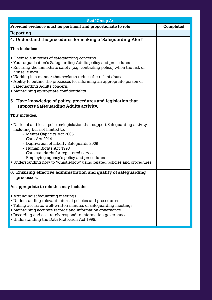| <b>Staff Group A:</b>                                                                                                                                                                                                                                                                                                                                                                                                                               |           |
|-----------------------------------------------------------------------------------------------------------------------------------------------------------------------------------------------------------------------------------------------------------------------------------------------------------------------------------------------------------------------------------------------------------------------------------------------------|-----------|
| Provided evidence must be pertinent and proportionate to role                                                                                                                                                                                                                                                                                                                                                                                       | Completed |
| Reporting                                                                                                                                                                                                                                                                                                                                                                                                                                           |           |
| 4. Understand the procedures for making a 'Safeguarding Alert'.                                                                                                                                                                                                                                                                                                                                                                                     |           |
| This includes:                                                                                                                                                                                                                                                                                                                                                                                                                                      |           |
| • Their role in terms of safeguarding concerns.<br>■ Your organisation's Safeguarding Adults policy and procedures.<br><b>Ensuring the immediate safety (e.g. contacting police) when the risk of</b><br>abuse is high.<br>■ Working in a manner that seeks to reduce the risk of abuse.<br>• Ability to outline the processes for informing an appropriate person of<br>Safeguarding Adults concern.<br>• Maintaining appropriate confidentiality. |           |
| 5. Have knowledge of policy, procedures and legislation that<br>supports Safeguarding Adults activity.                                                                                                                                                                                                                                                                                                                                              |           |
| This includes:                                                                                                                                                                                                                                                                                                                                                                                                                                      |           |
| • National and local policies/legislation that support Safeguarding activity<br>including but not limited to:<br>- Mental Capacity Act 2005<br>- Care Act $2014$<br>- Deprivation of Liberty Safeguards 2009<br>- Human Rights Act 1998<br>- Care standards for registered services<br>- Employing agency's policy and procedures<br>. Understanding how to 'whistleblow' using related policies and procedures.                                    |           |
| 6. Ensuring effective administration and quality of safeguarding<br>processes.                                                                                                                                                                                                                                                                                                                                                                      |           |
| As appropriate to role this may include:                                                                                                                                                                                                                                                                                                                                                                                                            |           |
| <b>Arranging safeguarding meetings.</b><br>• Understanding relevant internal policies and procedures.<br><b>Taking accurate, well-written minutes of safeguarding meetings.</b><br>• Maintaining accurate records and information governance.<br>Recording and accurately respond to information governance.<br>■ Understanding the Data Protection Act 1998.                                                                                       |           |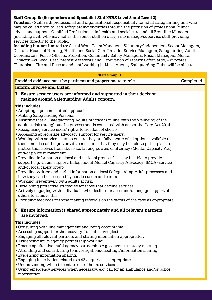#### Staff Group B: (Responders and Specialist Staff/NHS Level 2 and Level 3)

**Function -** Staff with professional and organisational responsibility for adult safeguarding and who may be called upon to lead safeguarding enquiries through the provision of professional/clinical advice and support. Qualified Professionals in health and social care and all Frontline Managers (including staff who may act as the senior staff on duty) who manage/supervise staff providing services directly to the public.

**Including but not limited to:** Social Work Team Managers, Voluntary/Independent Sector Managers, Doctors, Heads of Nursing, Health and Social Care Provider Service Managers, Safeguarding Adult Coordinators, Police Officers, Probation, Community Safety Managers, Prison Managers, Mental Capacity Act Lead, Best Interest Assessors and Deprivation of Liberty Safeguards, Advocates, Therapists, Fire and Rescue and staff working in Multi Agency Safeguarding Hubs will be able to:

| <b>Staff Group B:</b>                                                                                                                                                                                                                                                                                                                                                                                                                                                                                                                                                                                                                                                                                                                                                                                                                                                                                                                                                                                                                                                                                                                                                                                                                                                                                                                                                                                  |           |  |
|--------------------------------------------------------------------------------------------------------------------------------------------------------------------------------------------------------------------------------------------------------------------------------------------------------------------------------------------------------------------------------------------------------------------------------------------------------------------------------------------------------------------------------------------------------------------------------------------------------------------------------------------------------------------------------------------------------------------------------------------------------------------------------------------------------------------------------------------------------------------------------------------------------------------------------------------------------------------------------------------------------------------------------------------------------------------------------------------------------------------------------------------------------------------------------------------------------------------------------------------------------------------------------------------------------------------------------------------------------------------------------------------------------|-----------|--|
| Provided evidence must be pertinent and proportionate to role                                                                                                                                                                                                                                                                                                                                                                                                                                                                                                                                                                                                                                                                                                                                                                                                                                                                                                                                                                                                                                                                                                                                                                                                                                                                                                                                          | Completed |  |
| <b>Inform, Involve and Listen</b>                                                                                                                                                                                                                                                                                                                                                                                                                                                                                                                                                                                                                                                                                                                                                                                                                                                                                                                                                                                                                                                                                                                                                                                                                                                                                                                                                                      |           |  |
| 7. Ensure service users are informed and supported in their decision<br>making around Safeguarding Adults concern.                                                                                                                                                                                                                                                                                                                                                                                                                                                                                                                                                                                                                                                                                                                                                                                                                                                                                                                                                                                                                                                                                                                                                                                                                                                                                     |           |  |
| This includes:<br>• Adopting a person-centred approach.<br>• Making Safeguarding Personal.<br><b>Ensuring that all Safeguarding Adults practice is in line with the wellbeing of the</b><br>adult at risk throughout the process and is consulted with as per the Care Act 2014<br>Recognising service users' rights to freedom of choice.<br>Accessing appropriate advocacy support for service users.<br>. Working with service users to ensure they are fully aware of all options available to<br>them and also of the preventative measures that they may be able to put in place to<br>protect themselves from abuse i.e. lasting powers of attorney (Mental Capacity Act)<br>and/or police involvement.<br>• Providing information on local and national groups that may be able to provide<br>support e.g. victim support, Independent Mental Capacity Advocacy (IMCA) service<br>and/or local carers group.<br>• Providing written and verbal information on local Safeguarding Adult processes and<br>how they can be accessed by service users and carers.<br>■ Working preventively with adults at risk.<br>• Developing protective strategies for those that decline services.<br>Actively engaging with individuals who decline services and/or engage support of<br>others to achieve this.<br>• Providing feedback to those making referrals on the status of the case as appropriate. |           |  |
| 8. Ensure information is shared appropriately and all relevant partners<br>are involved.                                                                                                                                                                                                                                                                                                                                                                                                                                                                                                                                                                                                                                                                                                                                                                                                                                                                                                                                                                                                                                                                                                                                                                                                                                                                                                               |           |  |
| This includes:<br>• Consulting with line management and being accountable.<br>■ Accessing support for the recovery from abuse/neglect.<br>Engaging all relevant partners and sharing information appropriately.<br>Evidencing multi-agency partnership working.<br>• Practicing effective multi-agency partnership e.g. convene strategy meeting.<br>Attending and contributing to investigations/meetings/information sharing.<br>Evidencing information sharing.<br>Engaging in activities related to s.42 enquiries as appropriate.<br>• Understanding when to contact out of hours services.<br>• Using emergency services when necessary, e.g. call for an ambulance and/or police<br>intervention.                                                                                                                                                                                                                                                                                                                                                                                                                                                                                                                                                                                                                                                                                               |           |  |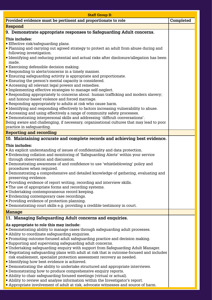| <b>Staff Group B:</b>                                                                                                                                                    |           |
|--------------------------------------------------------------------------------------------------------------------------------------------------------------------------|-----------|
| Provided evidence must be pertinent and proportionate to role                                                                                                            | Completed |
| <b>Respond</b>                                                                                                                                                           |           |
| 9. Demonstrate appropriate responses to Safeguarding Adult concerns.                                                                                                     |           |
| This includes:                                                                                                                                                           |           |
| Effective risk/safeguarding plans.                                                                                                                                       |           |
| • Planning and carrying out agreed strategy to protect an adult from abuse during and<br>following investigation.                                                        |           |
| • Identifying and reducing potential and actual risks after disclosure/allegation has been                                                                               |           |
| made.                                                                                                                                                                    |           |
| Exercising defensible decision making.                                                                                                                                   |           |
| Responding to alerts/concerns in a timely manner.<br>Ensuring safeguarding activity is appropriate and proportionate.                                                    |           |
| <b>Ensuring the person's mental capacity is considered.</b>                                                                                                              |           |
| Accessing all relevant legal powers and remedies.                                                                                                                        |           |
| Implementing effective strategies to manage self-neglect.                                                                                                                |           |
| Responding appropriately to concerns about: human trafficking and modern slavery;<br>and honour-based violence and forced marriage.                                      |           |
| Responding appropriately to adults at risk who cause harm.                                                                                                               |           |
| <b>I</b> Identifying and responding effectively to factors increasing vulnerability to abuse.                                                                            |           |
| Accessing and using effectively a range of community safety processes.                                                                                                   |           |
| " Demonstrating interpersonal skills and addressing 'difficult conversations'.                                                                                           |           |
| Being aware and challenging, if necessary, organisational cultures that may lead to poor<br>practice in safeguarding.                                                    |           |
| <b>Reporting and recording</b>                                                                                                                                           |           |
| 10. Maintaining accurate and complete records and achieving best evidence.                                                                                               |           |
| This includes:                                                                                                                                                           |           |
| • An explicit understanding of issues of confidentiality and data protection.                                                                                            |           |
| Evidencing collation and monitoring of 'Safeguarding Alerts' within your service                                                                                         |           |
| through observation and discussion.                                                                                                                                      |           |
| • Demonstrating awareness of and confidence to use 'whistleblowing' policy and<br>procedures when required.                                                              |           |
| • Demonstrating a comprehensive and detailed knowledge of gathering, evaluating and                                                                                      |           |
| preserving evidence.                                                                                                                                                     |           |
| • Providing evidence of report writing, recording and interview skills.                                                                                                  |           |
| • The use of appropriate forms and recording systems.<br>Undertaking contemporaneous record keeping.                                                                     |           |
| Evidencing contemporary case recordings.                                                                                                                                 |           |
| • Providing evidence of protection planning.                                                                                                                             |           |
| • Demonstrating court skills e.g. providing a credible testimony in court.                                                                                               |           |
| <b>Manage</b>                                                                                                                                                            |           |
| 11. Managing Safeguarding Adult concerns and enquiries.                                                                                                                  |           |
| As appropriate to role this may include:                                                                                                                                 |           |
| • Demonstrating ability to manage cases through safeguarding adult processes.                                                                                            |           |
| Ability to coordinate safeguarding enquiries.<br>• Promoting outcome-focused adult safeguarding practice and decision making.                                            |           |
| ■ Supporting and supervising safeguarding adult concerns.                                                                                                                |           |
| • Undertaking safeguarding enquiry with support from Safeguarding Adult Manager.                                                                                         |           |
| • Negotiating safeguarding plans with adult at risk that is outcome-focused and includes                                                                                 |           |
| risk enablement, specialist protection assessment recovery as needed.<br>Identifying how best evidence is achieved.                                                      |           |
| <b>• Demonstrating the ability to undertake structured and appropriate interviews.</b>                                                                                   |           |
| • Demonstrating how to produce comprehensive enquiry reports.                                                                                                            |           |
| • Ability to chair safeguarding focused meetings (virtual or actual).                                                                                                    |           |
| • Ability to review and analyse information within the Investigator's report.<br><b>Appropriate involvement of adult at risk, advocate witnesses and source of harm.</b> |           |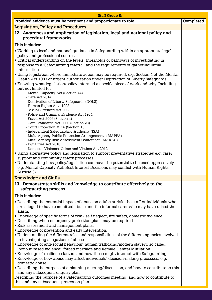| <b>Staff Group B:</b>                                                                                                                                                                                                                                               |           |
|---------------------------------------------------------------------------------------------------------------------------------------------------------------------------------------------------------------------------------------------------------------------|-----------|
| Provided evidence must be pertinent and proportionate to role                                                                                                                                                                                                       | Completed |
| <b>Legislation, Policy and Procedures</b>                                                                                                                                                                                                                           |           |
| 12. Awareness and application of legislation, local and national policy and                                                                                                                                                                                         |           |
| procedural frameworks.                                                                                                                                                                                                                                              |           |
| This includes:                                                                                                                                                                                                                                                      |           |
| ■ Working to local and national guidance in Safeguarding within an appropriate legal<br>policy and professional context.                                                                                                                                            |           |
| • Critical understanding on the levels, thresholds or pathways of investigating in<br>response to a 'Safeguarding referral' and the requirements of gathering initial<br>information.                                                                               |           |
| • Using legislation where immediate action may be required, e.g. Section 4 of the Mental<br>Health Act 1983 or urgent authorisation under Deprivation of Liberty Safeguards<br>Knowing what legislation/policy informed a specific piece of work and why. Including |           |
| but not limited to:<br>- Mental Capacity Act (Section 44)                                                                                                                                                                                                           |           |
| - Care Act 2014                                                                                                                                                                                                                                                     |           |
| - Deprivation of Liberty Safeguards (DOLS)<br>- Human Rights Acts 1998                                                                                                                                                                                              |           |
| - Sexual Offences Act 2003<br>- Police and Criminal Evidence Act 1984                                                                                                                                                                                               |           |
| - Fraud Act 2006 (Section 4)                                                                                                                                                                                                                                        |           |
| - Care Standards Act 2000 (Section 23)                                                                                                                                                                                                                              |           |
| - Court Protection MCA (Section 15)<br>- Independent Safeguarding Authority (ISA)                                                                                                                                                                                   |           |
| - Multi-Agency Public Protection Arrangements (MAPPA)                                                                                                                                                                                                               |           |
| - Multi-Agency Risk Assessment Conference (MARAC)                                                                                                                                                                                                                   |           |
| - Equalities Act 2010                                                                                                                                                                                                                                               |           |
| - Domestic Violence, Crime and Victims Act 2012                                                                                                                                                                                                                     |           |
| • Using alternative policy and legislation to support preventative strategies e.g. carer<br>support and community safety processes.                                                                                                                                 |           |
| • Understanding how policy/legislation can have the potential to be used oppressively                                                                                                                                                                               |           |
| e.g. Mental Capacity Act, Best Interest Decisions may conflict with Human Rights                                                                                                                                                                                    |           |
| (Article 3).                                                                                                                                                                                                                                                        |           |
| <b>Knowledge and Skills</b>                                                                                                                                                                                                                                         |           |
| 13. Demonstrates skills and knowledge to contribute effectively to the                                                                                                                                                                                              |           |
| safeguarding process.                                                                                                                                                                                                                                               |           |
| This includes:                                                                                                                                                                                                                                                      |           |
| • Describing the potential impact of abuse on adults at risk, the staff or individuals who                                                                                                                                                                          |           |
| are alleged to have committed abuse and the informal carer who may have raised the<br>alarm.                                                                                                                                                                        |           |
| Knowledge of specific forms of risk - self neglect, fire safety, domestic violence.                                                                                                                                                                                 |           |
| • Describing when emergency protection plans may be required.                                                                                                                                                                                                       |           |
| Risk assessment and management plans.                                                                                                                                                                                                                               |           |
| Knowledge of prevention and early intervention.<br>• Understanding the different roles and responsibilities of the different agencies involved<br>in investigating allegations of abuse.                                                                            |           |
| Knowledge of anti-social behaviour, human trafficking/modern slavery, so called                                                                                                                                                                                     |           |
| 'honour based violence', forced marriage and Female Genital Mutilation.                                                                                                                                                                                             |           |
| Knowledge of resilience factors and how these might interact with Safeguarding                                                                                                                                                                                      |           |
| Knowledge of how abuse may affect individuals' decision-making processes, e.g.<br>domestic abuse.                                                                                                                                                                   |           |
| • Describing the purpose of a planning meeting/discussion, and how to contribute to this                                                                                                                                                                            |           |
| and any subsequent enquiry plan.                                                                                                                                                                                                                                    |           |

Describing the purpose of a Safeguarding outcomes meeting, and how to contribute to this and any subsequent protection plan.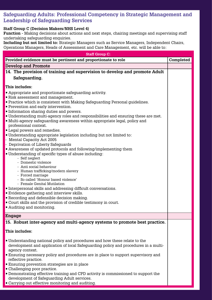## **Safeguarding Adults: Professional Competency in Strategic Management and Leadership of Safeguarding Services**

#### **Staff Group C (Decision Makers/NHS Level 4)**

**Function -** Making decisions about actions and next steps, chairing meetings and supervising staff undertaking safeguarding enquiries.

**Including but not limited to:** Strategic Managers such as Service Managers, Independent Chairs, Operations Managers, Heads of Assessment and Care Management, etc. will be able to:

| <b>Staff Group C:</b>                                                                                           |  |  |  |
|-----------------------------------------------------------------------------------------------------------------|--|--|--|
| Provided evidence must be pertinent and proportionate to role<br>Completed                                      |  |  |  |
| <b>Develop and Promote</b>                                                                                      |  |  |  |
| 14. The provision of training and supervision to develop and promote Adult                                      |  |  |  |
| Safeguarding.                                                                                                   |  |  |  |
|                                                                                                                 |  |  |  |
| This includes:                                                                                                  |  |  |  |
| • Appropriate and proportionate safeguarding activity.<br>Risk assessment and management.                       |  |  |  |
| • Practice which is consistent with Making Safeguarding Personal guidelines.                                    |  |  |  |
| <b>Prevention and early intervention.</b>                                                                       |  |  |  |
| Information sharing duties and powers.                                                                          |  |  |  |
| . Understanding multi-agency roles and responsibilities and ensuring these are met.                             |  |  |  |
| • Multi-agency safeguarding awareness within appropriate legal, policy and                                      |  |  |  |
| professional context.<br>Legal powers and remedies.                                                             |  |  |  |
| <b>Understanding appropriate legislation including but not limited to:</b>                                      |  |  |  |
| - Mental Capacity Act 2005                                                                                      |  |  |  |
| - Deprivation of Liberty Safeguards                                                                             |  |  |  |
| Awareness of updated protocols and following/implementing them                                                  |  |  |  |
| • Understanding of specific types of abuse including:<br>- Self neglect                                         |  |  |  |
| - Domestic violence                                                                                             |  |  |  |
| - Anti social behaviour                                                                                         |  |  |  |
| - Human trafficking/modern slavery<br>- Forced marriage                                                         |  |  |  |
| - So called 'Honour based violence'                                                                             |  |  |  |
| - Female Genital Mutilation                                                                                     |  |  |  |
| Interpersonal skills and addressing difficult conversations.                                                    |  |  |  |
| Evidence gathering and interview skills.                                                                        |  |  |  |
| Recording and defensible decision making.                                                                       |  |  |  |
| • Court skills and the provision of credible testimony in court.<br>Auditing and monitoring.                    |  |  |  |
|                                                                                                                 |  |  |  |
| <b>Engage</b>                                                                                                   |  |  |  |
| 15. Robust inter-agency and multi-agency systems to promote best practice.                                      |  |  |  |
| This includes:                                                                                                  |  |  |  |
|                                                                                                                 |  |  |  |
| • Understanding national policy and procedures and how these relate to the                                      |  |  |  |
| development and application of local Safeguarding policy and procedures in a multi-                             |  |  |  |
| agency context.                                                                                                 |  |  |  |
| <b>Ensuring necessary policy and procedures are in place to support supervisory and</b><br>reflective practice. |  |  |  |
| Ensuring prevention strategies are in place                                                                     |  |  |  |
| • Challenging poor practice.                                                                                    |  |  |  |
| • Demonstrating effective training and CPD activity is commissioned to support the                              |  |  |  |
| development of Safeguarding Adult services.                                                                     |  |  |  |

• Carrying out effective monitoring and auditing.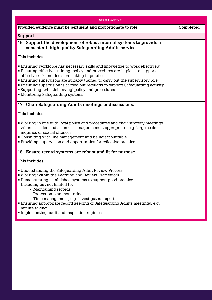| <b>Staff Group C:</b>                                                                                                                                                                                                                                                                                                                                                                                                                                                                                         |           |
|---------------------------------------------------------------------------------------------------------------------------------------------------------------------------------------------------------------------------------------------------------------------------------------------------------------------------------------------------------------------------------------------------------------------------------------------------------------------------------------------------------------|-----------|
| Provided evidence must be pertinent and proportionate to role                                                                                                                                                                                                                                                                                                                                                                                                                                                 | Completed |
| <b>Support</b>                                                                                                                                                                                                                                                                                                                                                                                                                                                                                                |           |
| 16. Support the development of robust internal systems to provide a<br>consistent, high quality Safeguarding Adults service.                                                                                                                                                                                                                                                                                                                                                                                  |           |
| This includes:                                                                                                                                                                                                                                                                                                                                                                                                                                                                                                |           |
| <b>Ensuring workforce has necessary skills and knowledge to work effectively.</b><br><b>Ensuring effective training, policy and procedures are in place to support</b><br>effective risk and decision making in practice.<br><b>Ensuring supervisors are suitably trained to carry out the supervisory role.</b><br><b>Ensuring supervision is carried out regularly to support Safeguarding activity.</b><br><b>Supporting 'whistleblowing' policy and procedures.</b><br>• Monitoring Safeguarding systems. |           |
| 17. Chair Safeguarding Adults meetings or discussions.                                                                                                                                                                                                                                                                                                                                                                                                                                                        |           |
| This includes:                                                                                                                                                                                                                                                                                                                                                                                                                                                                                                |           |
| . Working in line with local policy and procedures and chair strategy meetings<br>where it is deemed a senior manager is most appropriate, e.g. large scale<br>inquiries or sexual offences.<br>• Consulting with line management and being accountable.<br>• Providing supervision and opportunities for reflective practice.                                                                                                                                                                                |           |
| 18. Ensure record systems are robust and fit for purpose.                                                                                                                                                                                                                                                                                                                                                                                                                                                     |           |
| This includes:                                                                                                                                                                                                                                                                                                                                                                                                                                                                                                |           |
| • Understanding the Safeguarding Adult Review Process.<br>$\bullet$ Working within the Learning and Review Framework.<br>• Demonstrating established systems to support good practice<br>Including but not limited to:<br>- Maintaining records<br>- Protection plan monitoring<br>- Time management, e.g. investigators report<br><b>Ensuring appropriate record keeping of Safeguarding Adults meetings, e.g.</b><br>minute taking.<br>Implementing audit and inspection regimes.                           |           |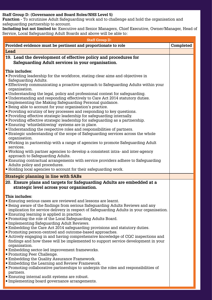#### **Staff Group D: (Governance and Board Roles/NHS Level 5)**

**Function -** To scrutinise Adult Safeguarding work and to challenge and hold the organisation and safeguarding partnership to account.

**Including but not limited to:** Executive and Senior Managers, Chief Executive, Owner/Manager, Head of Service, Local Safeguarding Adult Boards and above will be able to:

| <b>Staff Group D:</b>                                                                                                                                                                                                                                                                                                                                                                                                                                                                                                                                                                                                                                                                                                                                                                                                                                                                                                                                                                                                                                                                                                                                                                                                                                                                                                                                                                                                                          |  |  |  |
|------------------------------------------------------------------------------------------------------------------------------------------------------------------------------------------------------------------------------------------------------------------------------------------------------------------------------------------------------------------------------------------------------------------------------------------------------------------------------------------------------------------------------------------------------------------------------------------------------------------------------------------------------------------------------------------------------------------------------------------------------------------------------------------------------------------------------------------------------------------------------------------------------------------------------------------------------------------------------------------------------------------------------------------------------------------------------------------------------------------------------------------------------------------------------------------------------------------------------------------------------------------------------------------------------------------------------------------------------------------------------------------------------------------------------------------------|--|--|--|
| Provided evidence must be pertinent and proportionate to role                                                                                                                                                                                                                                                                                                                                                                                                                                                                                                                                                                                                                                                                                                                                                                                                                                                                                                                                                                                                                                                                                                                                                                                                                                                                                                                                                                                  |  |  |  |
| Lead                                                                                                                                                                                                                                                                                                                                                                                                                                                                                                                                                                                                                                                                                                                                                                                                                                                                                                                                                                                                                                                                                                                                                                                                                                                                                                                                                                                                                                           |  |  |  |
| 19. Lead the development of effective policy and procedures for                                                                                                                                                                                                                                                                                                                                                                                                                                                                                                                                                                                                                                                                                                                                                                                                                                                                                                                                                                                                                                                                                                                                                                                                                                                                                                                                                                                |  |  |  |
| Safeguarding Adult services in your organisation.                                                                                                                                                                                                                                                                                                                                                                                                                                                                                                                                                                                                                                                                                                                                                                                                                                                                                                                                                                                                                                                                                                                                                                                                                                                                                                                                                                                              |  |  |  |
| This includes:<br>• Providing leadership for the workforce, stating clear aims and objectives in<br>Safeguarding Adults.<br><b>Effectively communicating a proactive approach to Safequarding Adults within your</b><br>organisation.<br>• Understanding the legal, policy and professional context for safeguarding.<br>• Understanding and responding effectively to Care Act 2014 statutory duties.<br>• Implementing the Making Safeguarding Personal guidance.<br><b>Example 19 Being able to account for your organisation's practice.</b><br>• Providing scrutiny of key processes and responding to key questions.<br>• Providing effective strategic leadership for safeguarding internally.<br>• Providing effective strategic leadership for safeguarding as a partnership.<br><b>Ensuring 'whistleblowing' systems are in place.</b><br>• Understanding the respective roles and responsibilities of partners.<br>• Strategic understanding of the scope of Safeguarding services across the whole<br>organisation.<br>• Working in partnership with a range of agencies to promote Safeguarding Adult<br>services.<br>. Working with partner agencies to develop a consistent intra- and inter-agency<br>approach to Safeguarding Adults.<br>Ensuring contractual arrangements with service providers adhere to Safeguarding<br>Adults policy and procedures.<br>• Holding local agencies to account for their safeguarding work. |  |  |  |
| <b>Strategic planning in line with SABs</b>                                                                                                                                                                                                                                                                                                                                                                                                                                                                                                                                                                                                                                                                                                                                                                                                                                                                                                                                                                                                                                                                                                                                                                                                                                                                                                                                                                                                    |  |  |  |
| 20. Ensure plans and targets for Safeguarding Adults are embedded at a                                                                                                                                                                                                                                                                                                                                                                                                                                                                                                                                                                                                                                                                                                                                                                                                                                                                                                                                                                                                                                                                                                                                                                                                                                                                                                                                                                         |  |  |  |
| strategic level across your organisation.<br>This includes:<br>Ensuring serious cases are reviewed and lessons are learnt.<br><b>Being aware of the findings from serious Safeguarding Adults Reviews and any</b><br>implication for service delivery in respect of Safeguarding Adults in your organisation.<br>Ensuring learning is applied in practice.<br>• Promoting the role of the Local Safeguarding Adults Board.<br>Implementing Safeguarding Adult Reviews.<br><b>Embedding the Care Act 2014 safeguarding provisions and statutory duties.</b><br>• Promoting person-centred and outcome-based approaches.<br>• Actively engaging in and having comprehensive knowledge of CQC inspections and<br>findings and how these will be implemented to support service development in your<br>organisation.<br>Embedding sector-led improvement frameworks.<br>■ Promoting Peer Challenge.<br><b>Embedding the Quality Assurance Framework.</b><br><b>Embedding the Learning and Review Framework.</b><br>• Promoting collaborative partnerships to underpin the roles and responsibilities of<br>partners.<br>Ensuring internal audit systems are robust.<br>Implementing board governance arrangements.                                                                                                                                                                                                                                 |  |  |  |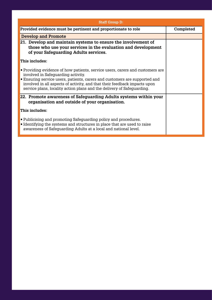| <b>Staff Group D:</b>                                                                                                                                                                                                                                                                                                                                         |           |
|---------------------------------------------------------------------------------------------------------------------------------------------------------------------------------------------------------------------------------------------------------------------------------------------------------------------------------------------------------------|-----------|
| Provided evidence must be pertinent and proportionate to role                                                                                                                                                                                                                                                                                                 | Completed |
| <b>Develop and Promote</b>                                                                                                                                                                                                                                                                                                                                    |           |
| 21. Develop and maintain systems to ensure the involvement of<br>those who use your services in the evaluation and development<br>of your Safeguarding Adults services.                                                                                                                                                                                       |           |
| This includes:                                                                                                                                                                                                                                                                                                                                                |           |
| • Providing evidence of how patients, service users, carers and customers are<br>involved in Safeguarding activity.<br><b>Ensuring service users, patients, carers and customers are supported and</b><br>involved in all aspects of activity, and that their feedback impacts upon<br>service plans, locality action plans and the delivery of Safeguarding. |           |
| 22. Promote awareness of Safeguarding Adults systems within your<br>organisation and outside of your organisation.                                                                                                                                                                                                                                            |           |
| This includes:                                                                                                                                                                                                                                                                                                                                                |           |
| • Publicising and promoting Safeguarding policy and procedures.<br>• Identifying the systems and structures in place that are used to raise<br>awareness of Safeguarding Adults at a local and national level.                                                                                                                                                |           |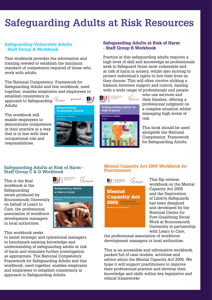## **Safeguarding Adults at Risk Resources**

#### **Safeguarding Vulnerable Adults - Staff Group A Workbook**

This workbook provides the information and training needed to establish the minimum standard of competence required of those who work with adults.

The National Competency Framework for Safeguarding Adults and this workbook, used together, enables employers and employees to

establish consistency in approach to Safeguarding Adults.

The workbook will enable employees to demonstrate competence in their practice in a way that is in line with their occupational role and responsibilities.



worcestershire

#### **Safeguarding Adults at Risk of Harm - Staff Group B Workbook**

Practice in this safeguarding adults requires a high level of skill and knowledge as professionals seek to Safeguard those most vulnerable and at risk of harm in society, whilst also striving to protect individual's rights to live their lives as they choose. This will often involve striking a balance between support and control, liaising with a wide range of professionals and people



who use services and their families, offering a professional judgment on a complex situation whilst managing high levels of risk.

This book should be used alongside the National Competency Framework for Safeguarding Adults.

#### **Safeguarding Adults at Risk of Harm - Staff Group C & D Workbook**

BIU

This is the final workbook in the Safeguarding series produced by Bournemouth University on behalf of Learn to Care, the professional association of workforce development managers in local authorities.

#### This workbook seeks

to assist strategic and operational managers to benchmark existing knowledge and understanding of safeguarding adults at risk of harm and stimulate further investigation as appropriate. The National Competency Framework for Safeguarding Adults and this workbook, used together, enables employers and employees to establish consistency in approach to Safeguarding Adults.







This flip reverse workbook on the Mental Capacity Act 2005 and the Deprivation of Liberty Safeguards has been designed and developed by the National Centre for Post-Qualifying Social Work at Bournemouth University in partnership with Learn to Care,

the professional association of workforce development managers in local authorities.

This is an accessible and informative workbook, packed full of case studies, activities and advice about the Mental Capacity Act 2005. We hope it will support practitioners to improve their professional practice and develop their knowledge and skills within key legislative and ethical frameworks